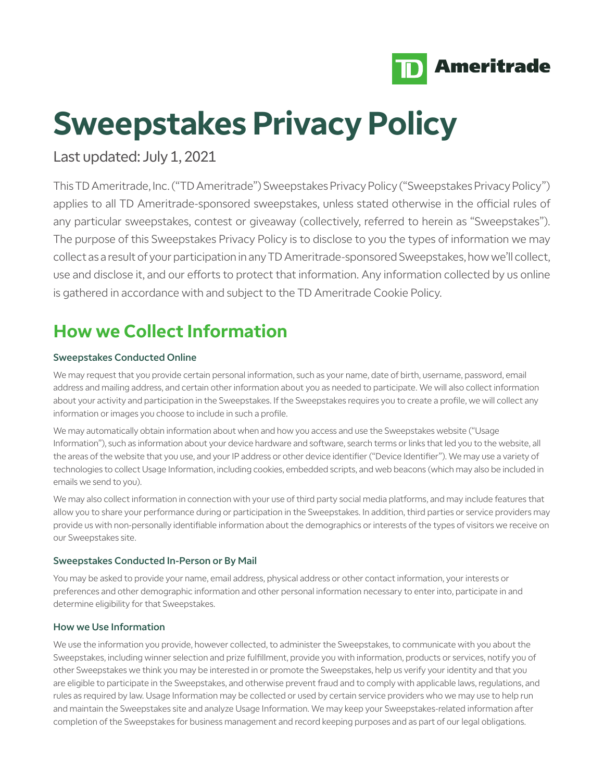

# **Sweepstakes Privacy Policy**

Last updated: July 1, 2021

This TD Ameritrade, Inc. ("TD Ameritrade") Sweepstakes Privacy Policy ("Sweepstakes Privacy Policy") applies to all TD Ameritrade-sponsored sweepstakes, unless stated otherwise in the official rules of any particular sweepstakes, contest or giveaway (collectively, referred to herein as "Sweepstakes"). The purpose of this Sweepstakes Privacy Policy is to disclose to you the types of information we may collect as a result of your participation in any TD Ameritrade-sponsored Sweepstakes, how we'll collect, use and disclose it, and our efforts to protect that information. Any information collected by us online is gathered in accordance with and subject to the TD Ameritrade Cookie Policy.

# **How we Collect Information**

# Sweepstakes Conducted Online

We may request that you provide certain personal information, such as your name, date of birth, username, password, email address and mailing address, and certain other information about you as needed to participate. We will also collect information about your activity and participation in the Sweepstakes. If the Sweepstakes requires you to create a profile, we will collect any information or images you choose to include in such a profile.

We may automatically obtain information about when and how you access and use the Sweepstakes website ("Usage Information"), such as information about your device hardware and software, search terms or links that led you to the website, all the areas of the website that you use, and your IP address or other device identifier ("Device Identifier"). We may use a variety of technologies to collect Usage Information, including cookies, embedded scripts, and web beacons (which may also be included in emails we send to you).

We may also collect information in connection with your use of third party social media platforms, and may include features that allow you to share your performance during or participation in the Sweepstakes. In addition, third parties or service providers may provide us with non-personally identifiable information about the demographics or interests of the types of visitors we receive on our Sweepstakes site.

# Sweepstakes Conducted In-Person or By Mail

You may be asked to provide your name, email address, physical address or other contact information, your interests or preferences and other demographic information and other personal information necessary to enter into, participate in and determine eligibility for that Sweepstakes.

# How we Use Information

We use the information you provide, however collected, to administer the Sweepstakes, to communicate with you about the Sweepstakes, including winner selection and prize fulfillment, provide you with information, products or services, notify you of other Sweepstakes we think you may be interested in or promote the Sweepstakes, help us verify your identity and that you are eligible to participate in the Sweepstakes, and otherwise prevent fraud and to comply with applicable laws, regulations, and rules as required by law. Usage Information may be collected or used by certain service providers who we may use to help run and maintain the Sweepstakes site and analyze Usage Information. We may keep your Sweepstakes-related information after completion of the Sweepstakes for business management and record keeping purposes and as part of our legal obligations.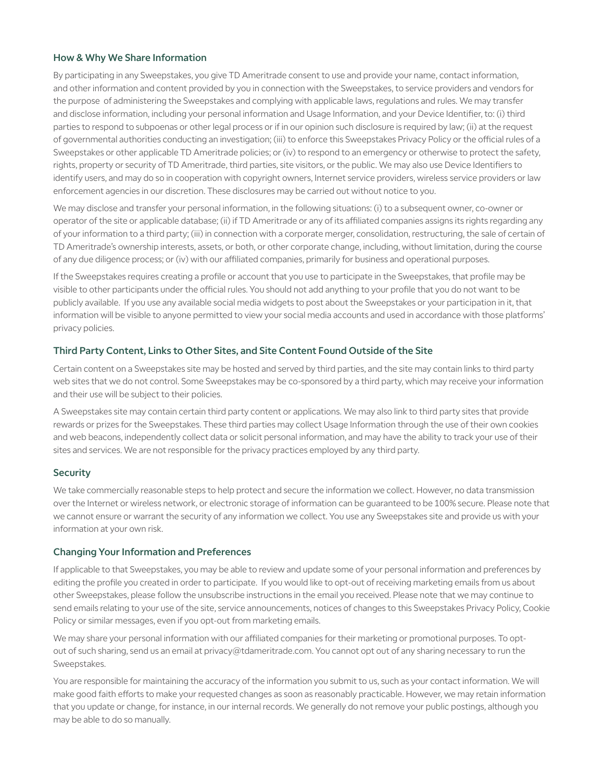#### How & Why We Share Information

By participating in any Sweepstakes, you give TD Ameritrade consent to use and provide your name, contact information, and other information and content provided by you in connection with the Sweepstakes, to service providers and vendors for the purpose of administering the Sweepstakes and complying with applicable laws, regulations and rules. We may transfer and disclose information, including your personal information and Usage Information, and your Device Identifier, to: (i) third parties to respond to subpoenas or other legal process or if in our opinion such disclosure is required by law; (ii) at the request of governmental authorities conducting an investigation; (iii) to enforce this Sweepstakes Privacy Policy or the official rules of a Sweepstakes or other applicable TD Ameritrade policies; or (iv) to respond to an emergency or otherwise to protect the safety, rights, property or security of TD Ameritrade, third parties, site visitors, or the public. We may also use Device Identifiers to identify users, and may do so in cooperation with copyright owners, Internet service providers, wireless service providers or law enforcement agencies in our discretion. These disclosures may be carried out without notice to you.

We may disclose and transfer your personal information, in the following situations: (i) to a subsequent owner, co-owner or operator of the site or applicable database; (ii) if TD Ameritrade or any of its affiliated companies assigns its rights regarding any of your information to a third party; (iii) in connection with a corporate merger, consolidation, restructuring, the sale of certain of TD Ameritrade's ownership interests, assets, or both, or other corporate change, including, without limitation, during the course of any due diligence process; or (iv) with our affiliated companies, primarily for business and operational purposes.

If the Sweepstakes requires creating a profile or account that you use to participate in the Sweepstakes, that profile may be visible to other participants under the official rules. You should not add anything to your profile that you do not want to be publicly available. If you use any available social media widgets to post about the Sweepstakes or your participation in it, that information will be visible to anyone permitted to view your social media accounts and used in accordance with those platforms' privacy policies.

#### Third Party Content, Links to Other Sites, and Site Content Found Outside of the Site

Certain content on a Sweepstakes site may be hosted and served by third parties, and the site may contain links to third party web sites that we do not control. Some Sweepstakes may be co-sponsored by a third party, which may receive your information and their use will be subject to their policies.

A Sweepstakes site may contain certain third party content or applications. We may also link to third party sites that provide rewards or prizes for the Sweepstakes. These third parties may collect Usage Information through the use of their own cookies and web beacons, independently collect data or solicit personal information, and may have the ability to track your use of their sites and services. We are not responsible for the privacy practices employed by any third party.

# **Security**

We take commercially reasonable steps to help protect and secure the information we collect. However, no data transmission over the Internet or wireless network, or electronic storage of information can be guaranteed to be 100% secure. Please note that we cannot ensure or warrant the security of any information we collect. You use any Sweepstakes site and provide us with your information at your own risk.

#### Changing Your Information and Preferences

If applicable to that Sweepstakes, you may be able to review and update some of your personal information and preferences by editing the profile you created in order to participate. If you would like to opt-out of receiving marketing emails from us about other Sweepstakes, please follow the unsubscribe instructions in the email you received. Please note that we may continue to send emails relating to your use of the site, service announcements, notices of changes to this Sweepstakes Privacy Policy, Cookie Policy or similar messages, even if you opt-out from marketing emails.

We may share your personal information with our affiliated companies for their marketing or promotional purposes. To optout of such sharing, send us an email at privacy@tdameritrade.com. You cannot opt out of any sharing necessary to run the Sweepstakes.

You are responsible for maintaining the accuracy of the information you submit to us, such as your contact information. We will make good faith efforts to make your requested changes as soon as reasonably practicable. However, we may retain information that you update or change, for instance, in our internal records. We generally do not remove your public postings, although you may be able to do so manually.